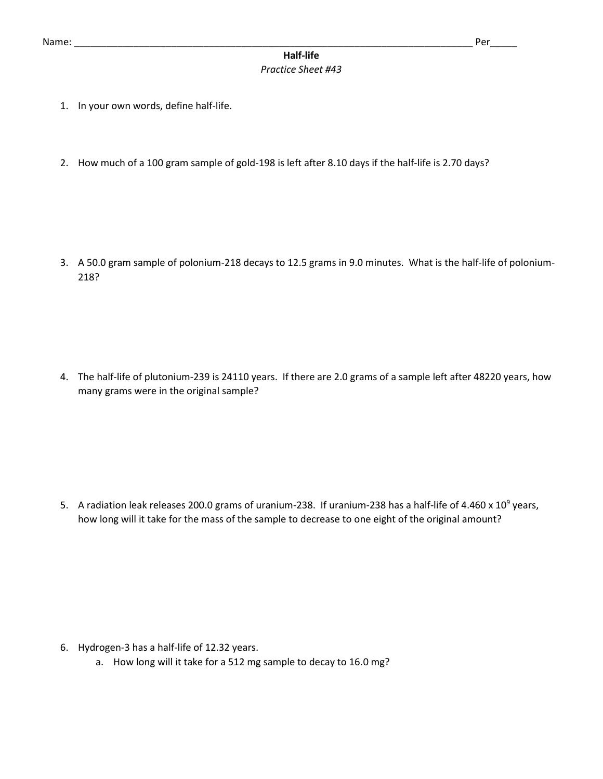## **Half-life** *Practice Sheet #43*

- 1. In your own words, define half-life.
- 2. How much of a 100 gram sample of gold-198 is left after 8.10 days if the half-life is 2.70 days?

3. A 50.0 gram sample of polonium-218 decays to 12.5 grams in 9.0 minutes. What is the half-life of polonium-218?

4. The half-life of plutonium-239 is 24110 years. If there are 2.0 grams of a sample left after 48220 years, how many grams were in the original sample?

5. A radiation leak releases 200.0 grams of uranium-238. If uranium-238 has a half-life of 4.460 x 10<sup>9</sup> years, how long will it take for the mass of the sample to decrease to one eight of the original amount?

- 6. Hydrogen-3 has a half-life of 12.32 years.
	- a. How long will it take for a 512 mg sample to decay to 16.0 mg?